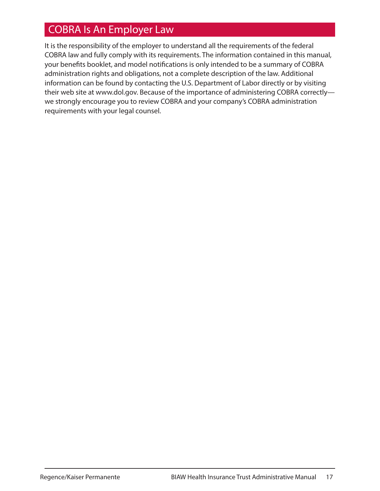# COBRA Is An Employer Law

It is the responsibility of the employer to understand all the requirements of the federal COBRA law and fully comply with its requirements. The information contained in this manual, your benefits booklet, and model notifications is only intended to be a summary of COBRA administration rights and obligations, not a complete description of the law. Additional information can be found by contacting the U.S. Department of Labor directly or by visiting their web site at www.dol.gov. Because of the importance of administering COBRA correctly we strongly encourage you to review COBRA and your company's COBRA administration requirements with your legal counsel.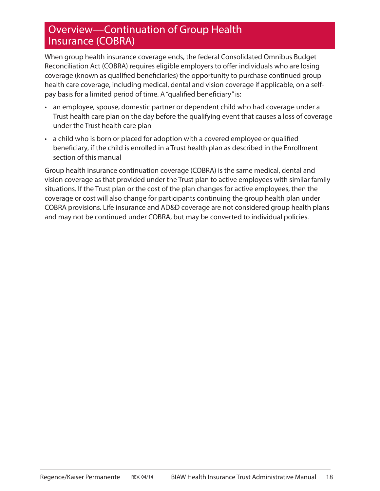### Overview—Continuation of Group Health Insurance (COBRA)

When group health insurance coverage ends, the federal Consolidated Omnibus Budget Reconciliation Act (COBRA) requires eligible employers to offer individuals who are losing coverage (known as qualified beneficiaries) the opportunity to purchase continued group health care coverage, including medical, dental and vision coverage if applicable, on a selfpay basis for a limited period of time. A "qualified beneficiary" is:

- an employee, spouse, domestic partner or dependent child who had coverage under a Trust health care plan on the day before the qualifying event that causes a loss of coverage under the Trust health care plan
- a child who is born or placed for adoption with a covered employee or qualified beneficiary, if the child is enrolled in a Trust health plan as described in the Enrollment section of this manual

Group health insurance continuation coverage (COBRA) is the same medical, dental and vision coverage as that provided under the Trust plan to active employees with similar family situations. If the Trust plan or the cost of the plan changes for active employees, then the coverage or cost will also change for participants continuing the group health plan under COBRA provisions. Life insurance and AD&D coverage are not considered group health plans and may not be continued under COBRA, but may be converted to individual policies.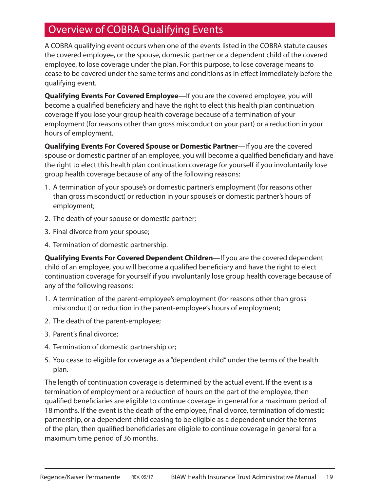# Overview of COBRA Qualifying Events

A COBRA qualifying event occurs when one of the events listed in the COBRA statute causes the covered employee, or the spouse, domestic partner or a dependent child of the covered employee, to lose coverage under the plan. For this purpose, to lose coverage means to cease to be covered under the same terms and conditions as in effect immediately before the qualifying event.

**Qualifying Events For Covered Employee**—If you are the covered employee, you will become a qualified beneficiary and have the right to elect this health plan continuation coverage if you lose your group health coverage because of a termination of your employment (for reasons other than gross misconduct on your part) or a reduction in your hours of employment.

**Qualifying Events For Covered Spouse or Domestic Partner**—If you are the covered spouse or domestic partner of an employee, you will become a qualified beneficiary and have the right to elect this health plan continuation coverage for yourself if you involuntarily lose group health coverage because of any of the following reasons:

- 1. A termination of your spouse's or domestic partner's employment (for reasons other than gross misconduct) or reduction in your spouse's or domestic partner's hours of employment;
- 2. The death of your spouse or domestic partner;
- 3. Final divorce from your spouse;
- 4. Termination of domestic partnership.

**Qualifying Events For Covered Dependent Children**—If you are the covered dependent child of an employee, you will become a qualified beneficiary and have the right to elect continuation coverage for yourself if you involuntarily lose group health coverage because of any of the following reasons:

- 1. A termination of the parent-employee's employment (for reasons other than gross misconduct) or reduction in the parent-employee's hours of employment;
- 2. The death of the parent-employee;
- 3. Parent's final divorce;
- 4. Termination of domestic partnership or;
- 5. You cease to eligible for coverage as a "dependent child" under the terms of the health plan.

The length of continuation coverage is determined by the actual event. If the event is a termination of employment or a reduction of hours on the part of the employee, then qualified beneficiaries are eligible to continue coverage in general for a maximum period of 18 months. If the event is the death of the employee, final divorce, termination of domestic partnership, or a dependent child ceasing to be eligible as a dependent under the terms of the plan, then qualified beneficiaries are eligible to continue coverage in general for a maximum time period of 36 months.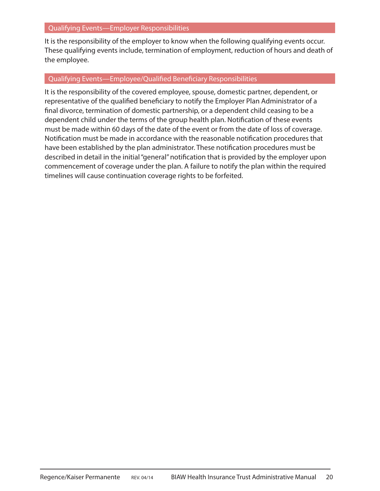It is the responsibility of the employer to know when the following qualifying events occur. These qualifying events include, termination of employment, reduction of hours and death of the employee.

#### Qualifying Events—Employee/Qualified Beneficiary Responsibilities

It is the responsibility of the covered employee, spouse, domestic partner, dependent, or representative of the qualified beneficiary to notify the Employer Plan Administrator of a final divorce, termination of domestic partnership, or a dependent child ceasing to be a dependent child under the terms of the group health plan. Notification of these events must be made within 60 days of the date of the event or from the date of loss of coverage. Notification must be made in accordance with the reasonable notification procedures that have been established by the plan administrator. These notification procedures must be described in detail in the initial "general" notification that is provided by the employer upon commencement of coverage under the plan. A failure to notify the plan within the required timelines will cause continuation coverage rights to be forfeited.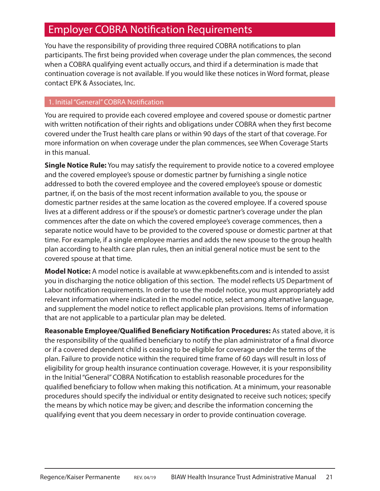### **Employer COBRA Notification Requirements**

You have the responsibility of providing three required COBRA notifications to plan participants. The first being provided when coverage under the plan commences, the second when a COBRA qualifying event actually occurs, and third if a determination is made that continuation coverage is not available. If you would like these notices in Word format, please contact EPK & Associates, Inc.

#### 1. Initial "General" COBRA Notification

You are required to provide each covered employee and covered spouse or domestic partner with written notification of their rights and obligations under COBRA when they first become covered under the Trust health care plans or within 90 days of the start of that coverage. For more information on when coverage under the plan commences, see When Coverage Starts in this manual.

**Single Notice Rule:** You may satisfy the requirement to provide notice to a covered employee and the covered employee's spouse or domestic partner by furnishing a single notice addressed to both the covered employee and the covered employee's spouse or domestic partner, if, on the basis of the most recent information available to you, the spouse or domestic partner resides at the same location as the covered employee. If a covered spouse lives at a different address or if the spouse's or domestic partner's coverage under the plan commences after the date on which the covered employee's coverage commences, then a separate notice would have to be provided to the covered spouse or domestic partner at that time. For example, if a single employee marries and adds the new spouse to the group health plan according to health care plan rules, then an initial general notice must be sent to the covered spouse at that time.

Model Notice: A model notice is available at www.epkbenefits.com and is intended to assist you in discharging the notice obligation of this section. The model reflects US Department of Labor notification requirements. In order to use the model notice, you must appropriately add relevant information where indicated in the model notice, select among alternative language, and supplement the model notice to reflect applicable plan provisions. Items of information that are not applicable to a particular plan may be deleted.

**Reasonable Employee/Qualified Beneficiary Notification Procedures:** As stated above, it is the responsibility of the qualified beneficiary to notify the plan administrator of a final divorce or if a covered dependent child is ceasing to be eligible for coverage under the terms of the plan. Failure to provide notice within the required time frame of 60 days will result in loss of eligibility for group health insurance continuation coverage. However, it is your responsibility in the Initial "General" COBRA Notification to establish reasonable procedures for the qualified beneficiary to follow when making this notification. At a minimum, your reasonable procedures should specify the individual or entity designated to receive such notices; specify the means by which notice may be given; and describe the information concerning the qualifying event that you deem necessary in order to provide continuation coverage.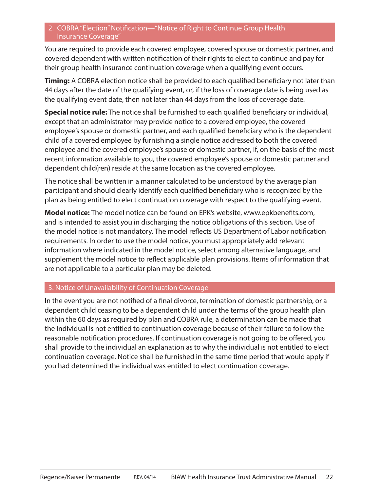#### 2. COBRA "Election" Notification—"Notice of Right to Continue Group Health Insurance Coverage"

You are required to provide each covered employee, covered spouse or domestic partner, and covered dependent with written notification of their rights to elect to continue and pay for their group health insurance continuation coverage when a qualifying event occurs.

**Timing:** A COBRA election notice shall be provided to each qualified beneficiary not later than 44 days after the date of the qualifying event, or, if the loss of coverage date is being used as the qualifying event date, then not later than 44 days from the loss of coverage date.

**Special notice rule:** The notice shall be furnished to each qualified beneficiary or individual, except that an administrator may provide notice to a covered employee, the covered employee's spouse or domestic partner, and each qualified beneficiary who is the dependent child of a covered employee by furnishing a single notice addressed to both the covered employee and the covered employee's spouse or domestic partner, if, on the basis of the most recent information available to you, the covered employee's spouse or domestic partner and dependent child(ren) reside at the same location as the covered employee.

The notice shall be written in a manner calculated to be understood by the average plan participant and should clearly identify each qualified beneficiary who is recognized by the plan as being entitled to elect continuation coverage with respect to the qualifying event.

**Model notice:** The model notice can be found on EPK's website, www.epkbenefits.com, and is intended to assist you in discharging the notice obligations of this section. Use of the model notice is not mandatory. The model reflects US Department of Labor notification requirements. In order to use the model notice, you must appropriately add relevant information where indicated in the model notice, select among alternative language, and supplement the model notice to reflect applicable plan provisions. Items of information that are not applicable to a particular plan may be deleted.

#### 3. Notice of Unavailability of Continuation Coverage

In the event you are not notified of a final divorce, termination of domestic partnership, or a dependent child ceasing to be a dependent child under the terms of the group health plan within the 60 days as required by plan and COBRA rule, a determination can be made that the individual is not entitled to continuation coverage because of their failure to follow the reasonable notification procedures. If continuation coverage is not going to be offered, you shall provide to the individual an explanation as to why the individual is not entitled to elect continuation coverage. Notice shall be furnished in the same time period that would apply if you had determined the individual was entitled to elect continuation coverage.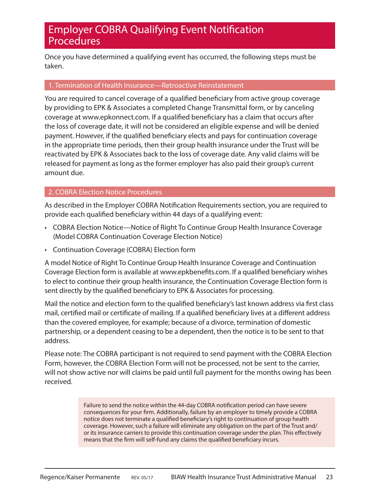### **Employer COBRA Qualifying Event Notification** Procedures

Once you have determined a qualifying event has occurred, the following steps must be taken.

#### 1. Termination of Health Insurance—Retroactive Reinstatement

You are required to cancel coverage of a qualified beneficiary from active group coverage by providing to EPK & Associates a completed Change Transmittal form, or by canceling coverage at www.epkonnect.com. If a qualified beneficiary has a claim that occurs after the loss of coverage date, it will not be considered an eligible expense and will be denied payment. However, if the qualified beneficiary elects and pays for continuation coverage in the appropriate time periods, then their group health insurance under the Trust will be reactivated by EPK & Associates back to the loss of coverage date. Any valid claims will be released for payment as long as the former employer has also paid their group's current amount due.

#### 2. COBRA Election Notice Procedures

As described in the Employer COBRA Notification Requirements section, you are required to provide each qualified beneficiary within 44 days of a qualifying event:

- COBRA Election Notice—Notice of Right To Continue Group Health Insurance Coverage (Model COBRA Continuation Coverage Election Notice)
- Continuation Coverage (COBRA) Election form

A model Notice of Right To Continue Group Health Insurance Coverage and Continuation Coverage Election form is available at www.epkbenefits.com. If a qualified beneficiary wishes to elect to continue their group health insurance, the Continuation Coverage Election form is sent directly by the qualified beneficiary to EPK & Associates for processing.

Mail the notice and election form to the qualified beneficiary's last known address via first class mail, certified mail or certificate of mailing. If a qualified beneficiary lives at a different address than the covered employee, for example; because of a divorce, termination of domestic partnership, or a dependent ceasing to be a dependent, then the notice is to be sent to that address.

Please note: The COBRA participant is not required to send payment with the COBRA Election Form, however, the COBRA Election Form will not be processed, not be sent to the carrier, will not show active nor will claims be paid until full payment for the months owing has been received.

> Failure to send the notice within the 44-day COBRA notification period can have severe consequences for your firm. Additionally, failure by an employer to timely provide a COBRA notice does not terminate a qualified beneficiary's right to continuation of group health coverage. However, such a failure will eliminate any obligation on the part of the Trust and/ or its insurance carriers to provide this continuation coverage under the plan. This effectively means that the firm will self-fund any claims the qualified beneficiary incurs.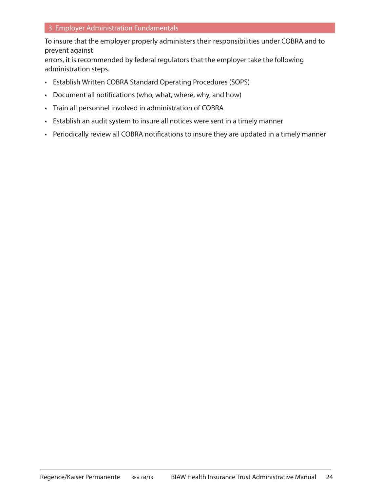#### 3. Employer Administration Fundamentals

To insure that the employer properly administers their responsibilities under COBRA and to prevent against

errors, it is recommended by federal regulators that the employer take the following administration steps.

- Establish Written COBRA Standard Operating Procedures (SOPS)
- Document all notifications (who, what, where, why, and how)
- Train all personnel involved in administration of COBRA
- Establish an audit system to insure all notices were sent in a timely manner
- Periodically review all COBRA notifications to insure they are updated in a timely manner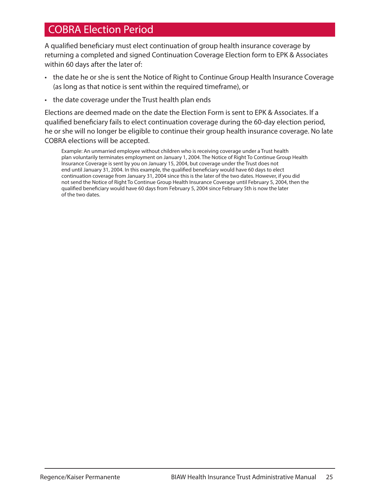### COBRA Election Period

A qualified beneficiary must elect continuation of group health insurance coverage by returning a completed and signed Continuation Coverage Election form to EPK & Associates within 60 days after the later of:

- the date he or she is sent the Notice of Right to Continue Group Health Insurance Coverage (as long as that notice is sent within the required timeframe), or
- the date coverage under the Trust health plan ends

Elections are deemed made on the date the Election Form is sent to EPK & Associates. If a qualified beneficiary fails to elect continuation coverage during the 60-day election period, he or she will no longer be eligible to continue their group health insurance coverage. No late COBRA elections will be accepted.

Example: An unmarried employee without children who is receiving coverage under a Trust health plan voluntarily terminates employment on January 1, 2004. The Notice of Right To Continue Group Health Insurance Coverage is sent by you on January 15, 2004, but coverage under the Trust does not end until January 31, 2004. In this example, the qualified beneficiary would have 60 days to elect continuation coverage from January 31, 2004 since this is the later of the two dates. However, if you did not send the Notice of Right To Continue Group Health Insurance Coverage until February 5, 2004, then the qualified beneficiary would have 60 days from February 5, 2004 since February 5th is now the later of the two dates.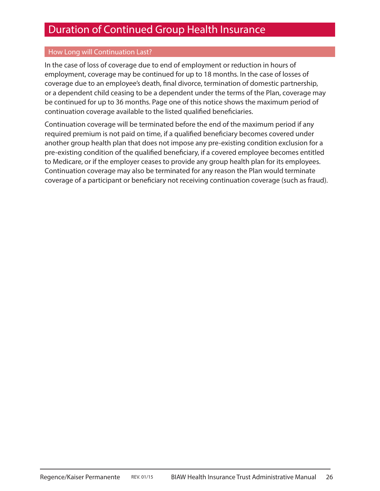### Duration of Continued Group Health Insurance

#### How Long will Continuation Last?

In the case of loss of coverage due to end of employment or reduction in hours of employment, coverage may be continued for up to 18 months. In the case of losses of coverage due to an employee's death, final divorce, termination of domestic partnership, or a dependent child ceasing to be a dependent under the terms of the Plan, coverage may be continued for up to 36 months. Page one of this notice shows the maximum period of continuation coverage available to the listed qualified beneficiaries.

Continuation coverage will be terminated before the end of the maximum period if any required premium is not paid on time, if a qualified beneficiary becomes covered under another group health plan that does not impose any pre-existing condition exclusion for a pre-existing condition of the qualified beneficiary, if a covered employee becomes entitled to Medicare, or if the employer ceases to provide any group health plan for its employees. Continuation coverage may also be terminated for any reason the Plan would terminate coverage of a participant or beneficiary not receiving continuation coverage (such as fraud).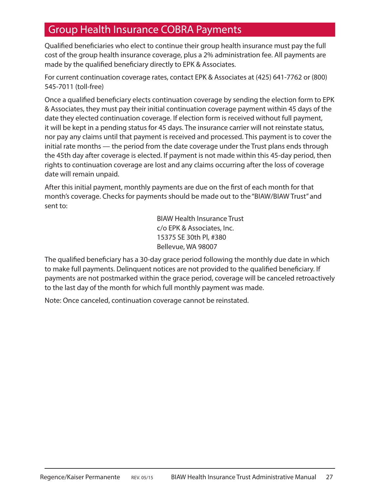### Group Health Insurance COBRA Payments

Qualified beneficiaries who elect to continue their group health insurance must pay the full cost of the group health insurance coverage, plus a 2% administration fee. All payments are made by the qualified beneficiary directly to EPK & Associates.

For current continuation coverage rates, contact EPK & Associates at (425) 641-7762 or (800) 545-7011 (toll-free)

Once a qualified beneficiary elects continuation coverage by sending the election form to EPK & Associates, they must pay their initial continuation coverage payment within 45 days of the date they elected continuation coverage. If election form is received without full payment, it will be kept in a pending status for 45 days. The insurance carrier will not reinstate status, nor pay any claims until that payment is received and processed. This payment is to cover the initial rate months — the period from the date coverage under the Trust plans ends through the 45th day after coverage is elected. If payment is not made within this 45-day period, then rights to continuation coverage are lost and any claims occurring after the loss of coverage date will remain unpaid.

After this initial payment, monthly payments are due on the first of each month for that month's coverage. Checks for payments should be made out to the "BIAW/BIAW Trust" and sent to:

> BIAW Health Insurance Trust c/o EPK & Associates, Inc. 15375 SE 30th Pl, #380 Bellevue, WA 98007

The qualified beneficiary has a 30-day grace period following the monthly due date in which to make full payments. Delinquent notices are not provided to the qualified beneficiary. If payments are not postmarked within the grace period, coverage will be canceled retroactively to the last day of the month for which full monthly payment was made.

Note: Once canceled, continuation coverage cannot be reinstated.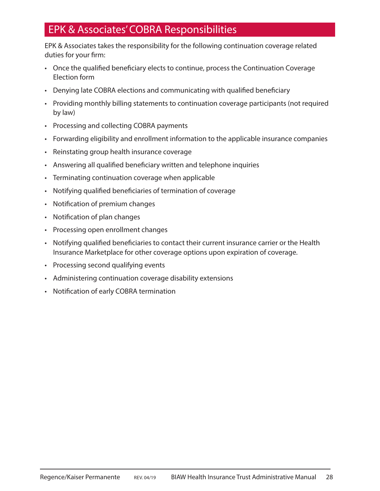## EPK & Associates' COBRA Responsibilities

EPK & Associates takes the responsibility for the following continuation coverage related duties for your firm:

- Once the qualified beneficiary elects to continue, process the Continuation Coverage Election form
- Denying late COBRA elections and communicating with qualified beneficiary
- Providing monthly billing statements to continuation coverage participants (not required by law)
- Processing and collecting COBRA payments
- Forwarding eligibility and enrollment information to the applicable insurance companies
- Reinstating group health insurance coverage
- Answering all qualified beneficiary written and telephone inquiries
- Terminating continuation coverage when applicable
- Notifying qualified beneficiaries of termination of coverage
- Notification of premium changes
- Notification of plan changes
- Processing open enrollment changes
- Notifying qualified beneficiaries to contact their current insurance carrier or the Health Insurance Marketplace for other coverage options upon expiration of coverage.
- Processing second qualifying events
- Administering continuation coverage disability extensions
- Notification of early COBRA termination